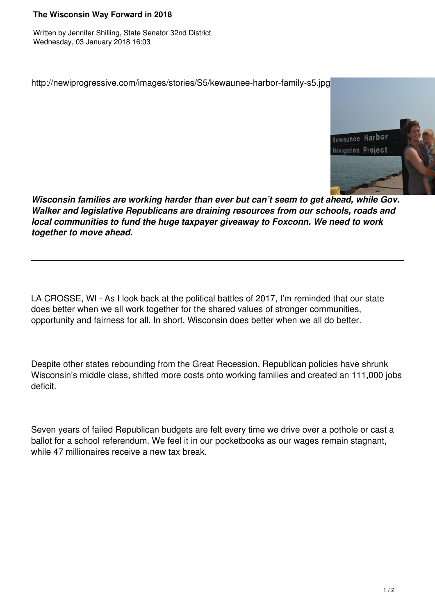## **The Wisconsin Way Forward in 2018**

Written by Jennifer Shilling, State Senator 32nd District Wednesday, 03 January 2018 16:03

http://newiprogressive.com/images/stories/S5/kewaunee-harbor-family-s5.jpg



*Wisconsin families are working harder than ever but can't seem to get ahead, while Gov. Walker and legislative Republicans are draining resources from our schools, roads and local communities to fund the huge taxpayer giveaway to Foxconn. We need to work together to move ahead.*

LA CROSSE, WI - As I look back at the political battles of 2017, I'm reminded that our state does better when we all work together for the shared values of stronger communities, opportunity and fairness for all. In short, Wisconsin does better when we all do better.

Despite other states rebounding from the Great Recession, Republican policies have shrunk Wisconsin's middle class, shifted more costs onto working families and created an 111,000 jobs deficit.

Seven years of failed Republican budgets are felt every time we drive over a pothole or cast a ballot for a school referendum. We feel it in our pocketbooks as our wages remain stagnant, while 47 millionaires receive a new tax break.